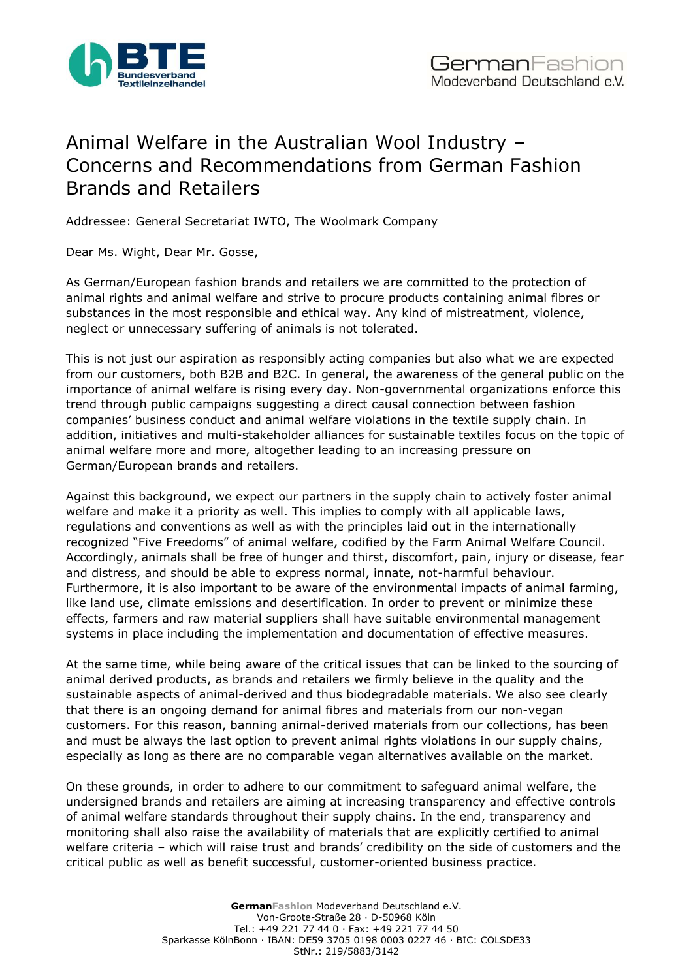

## Animal Welfare in the Australian Wool Industry – Concerns and Recommendations from German Fashion Brands and Retailers

Addressee: General Secretariat IWTO, The Woolmark Company

Dear Ms. Wight, Dear Mr. Gosse,

As German/European fashion brands and retailers we are committed to the protection of animal rights and animal welfare and strive to procure products containing animal fibres or substances in the most responsible and ethical way. Any kind of mistreatment, violence, neglect or unnecessary suffering of animals is not tolerated.

This is not just our aspiration as responsibly acting companies but also what we are expected from our customers, both B2B and B2C. In general, the awareness of the general public on the importance of animal welfare is rising every day. Non-governmental organizations enforce this trend through public campaigns suggesting a direct causal connection between fashion companies' business conduct and animal welfare violations in the textile supply chain. In addition, initiatives and multi-stakeholder alliances for sustainable textiles focus on the topic of animal welfare more and more, altogether leading to an increasing pressure on German/European brands and retailers.

Against this background, we expect our partners in the supply chain to actively foster animal welfare and make it a priority as well. This implies to comply with all applicable laws, regulations and conventions as well as with the principles laid out in the internationally recognized "Five Freedoms" of animal welfare, codified by the Farm Animal Welfare Council. Accordingly, animals shall be free of hunger and thirst, discomfort, pain, injury or disease, fear and distress, and should be able to express normal, innate, not-harmful behaviour. Furthermore, it is also important to be aware of the environmental impacts of animal farming, like land use, climate emissions and desertification. In order to prevent or minimize these effects, farmers and raw material suppliers shall have suitable environmental management systems in place including the implementation and documentation of effective measures.

At the same time, while being aware of the critical issues that can be linked to the sourcing of animal derived products, as brands and retailers we firmly believe in the quality and the sustainable aspects of animal-derived and thus biodegradable materials. We also see clearly that there is an ongoing demand for animal fibres and materials from our non-vegan customers. For this reason, banning animal-derived materials from our collections, has been and must be always the last option to prevent animal rights violations in our supply chains, especially as long as there are no comparable vegan alternatives available on the market.

On these grounds, in order to adhere to our commitment to safeguard animal welfare, the undersigned brands and retailers are aiming at increasing transparency and effective controls of animal welfare standards throughout their supply chains. In the end, transparency and monitoring shall also raise the availability of materials that are explicitly certified to animal welfare criteria – which will raise trust and brands' credibility on the side of customers and the critical public as well as benefit successful, customer-oriented business practice.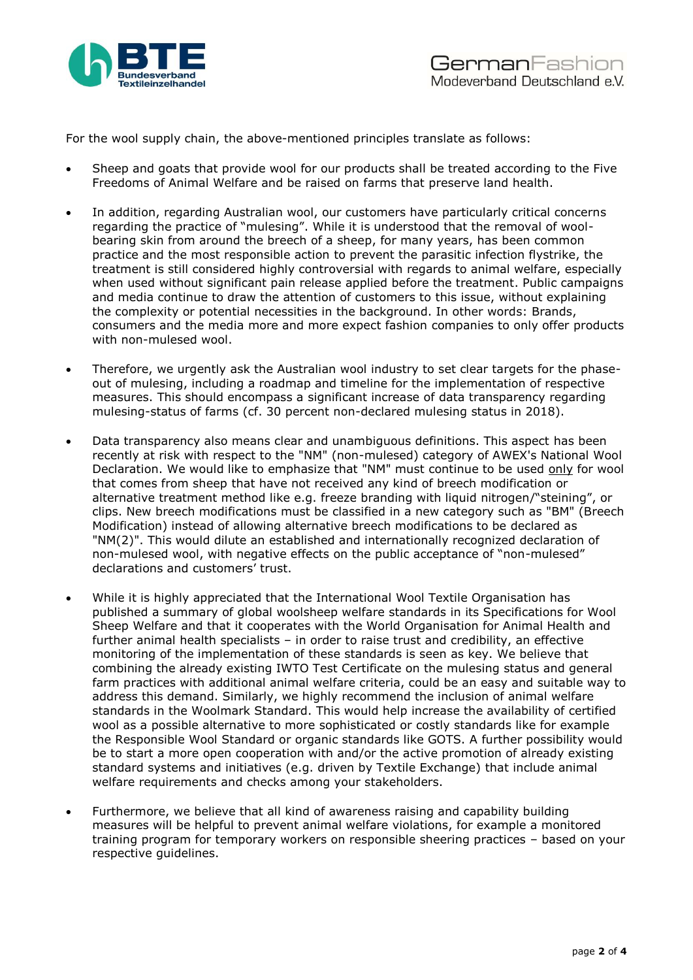

For the wool supply chain, the above-mentioned principles translate as follows:

- Sheep and goats that provide wool for our products shall be treated according to the Five Freedoms of Animal Welfare and be raised on farms that preserve land health.
- In addition, regarding Australian wool, our customers have particularly critical concerns regarding the practice of "mulesing". While it is understood that the removal of woolbearing skin from around the breech of a sheep, for many years, has been common practice and the most responsible action to prevent the parasitic infection flystrike, the treatment is still considered highly controversial with regards to animal welfare, especially when used without significant pain release applied before the treatment. Public campaigns and media continue to draw the attention of customers to this issue, without explaining the complexity or potential necessities in the background. In other words: Brands, consumers and the media more and more expect fashion companies to only offer products with non-mulesed wool.
- Therefore, we urgently ask the Australian wool industry to set clear targets for the phaseout of mulesing, including a roadmap and timeline for the implementation of respective measures. This should encompass a significant increase of data transparency regarding mulesing-status of farms (cf. 30 percent non-declared mulesing status in 2018).
- Data transparency also means clear and unambiguous definitions. This aspect has been recently at risk with respect to the "NM" (non-mulesed) category of AWEX's National Wool Declaration. We would like to emphasize that "NM" must continue to be used only for wool that comes from sheep that have not received any kind of breech modification or alternative treatment method like e.g. freeze branding with liquid nitrogen/"steining", or clips. New breech modifications must be classified in a new category such as "BM" (Breech Modification) instead of allowing alternative breech modifications to be declared as "NM(2)". This would dilute an established and internationally recognized declaration of non-mulesed wool, with negative effects on the public acceptance of "non-mulesed" declarations and customers' trust.
- While it is highly appreciated that the International Wool Textile Organisation has published a summary of global woolsheep welfare standards in its Specifications for Wool Sheep Welfare and that it cooperates with the World Organisation for Animal Health and further animal health specialists – in order to raise trust and credibility, an effective monitoring of the implementation of these standards is seen as key. We believe that combining the already existing IWTO Test Certificate on the mulesing status and general farm practices with additional animal welfare criteria, could be an easy and suitable way to address this demand. Similarly, we highly recommend the inclusion of animal welfare standards in the Woolmark Standard. This would help increase the availability of certified wool as a possible alternative to more sophisticated or costly standards like for example the Responsible Wool Standard or organic standards like GOTS. A further possibility would be to start a more open cooperation with and/or the active promotion of already existing standard systems and initiatives (e.g. driven by Textile Exchange) that include animal welfare requirements and checks among your stakeholders.
- Furthermore, we believe that all kind of awareness raising and capability building measures will be helpful to prevent animal welfare violations, for example a monitored training program for temporary workers on responsible sheering practices – based on your respective guidelines.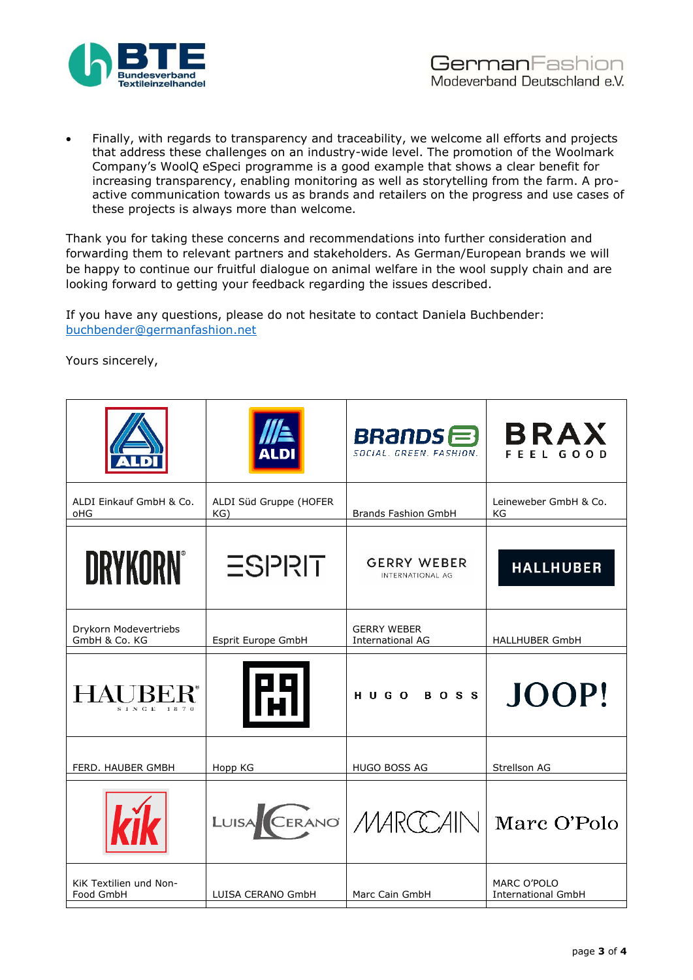

• Finally, with regards to transparency and traceability, we welcome all efforts and projects that address these challenges on an industry-wide level. The promotion of the Woolmark Company's WoolQ eSpeci programme is a good example that shows a clear benefit for increasing transparency, enabling monitoring as well as storytelling from the farm. A proactive communication towards us as brands and retailers on the progress and use cases of these projects is always more than welcome.

Thank you for taking these concerns and recommendations into further consideration and forwarding them to relevant partners and stakeholders. As German/European brands we will be happy to continue our fruitful dialogue on animal welfare in the wool supply chain and are looking forward to getting your feedback regarding the issues described.

If you have any questions, please do not hesitate to contact Daniela Buchbender: [buchbender@germanfashion.net](mailto:buchbender@germanfashion.net)

Yours sincerely,

|                                        |                               | BRands <sup>e</sup><br>SOCIAL, GREEN, FASHION, | <b>BRAX</b><br>FEEL GOOD                 |
|----------------------------------------|-------------------------------|------------------------------------------------|------------------------------------------|
| ALDI Einkauf GmbH & Co.<br>oHG         | ALDI Süd Gruppe (HOFER<br>KG) | <b>Brands Fashion GmbH</b>                     | Leineweber GmbH & Co.<br>ΚG              |
| <b>DRYKORN®</b>                        | <b>ESPRIT</b>                 | <b>GERRY WEBER</b><br>INTERNATIONAL AG         | <b>HALLHUBER</b>                         |
| Drykorn Modevertriebs<br>GmbH & Co. KG | Esprit Europe GmbH            | <b>GERRY WEBER</b><br><b>International AG</b>  | <b>HALLHUBER GmbH</b>                    |
| <b>HAUBER</b> ®<br>SINGE 1870          | ГüТ                           | HUGO BOSS                                      | JOOP!                                    |
| FERD. HAUBER GMBH                      | Hopp KG                       | <b>HUGO BOSS AG</b>                            | Strellson AG                             |
|                                        |                               | LUISA CERANO MARCCAIN                          | Marc O'Polo                              |
| KiK Textilien und Non-<br>Food GmbH    | LUISA CERANO GmbH             | Marc Cain GmbH                                 | MARC O'POLO<br><b>International GmbH</b> |